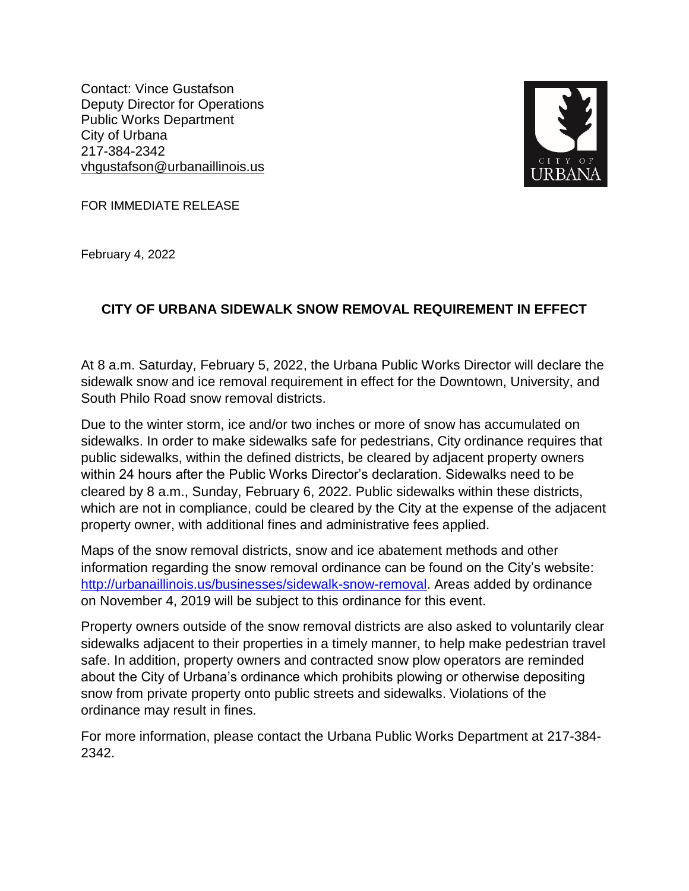Contact: Vince Gustafson Deputy Director for Operations Public Works Department City of Urbana 217-384-2342 vhgustafson@urbanaillinois.us



FOR IMMEDIATE RELEASE

February 4, 2022

## **CITY OF URBANA SIDEWALK SNOW REMOVAL REQUIREMENT IN EFFECT**

At 8 a.m. Saturday, February 5, 2022, the Urbana Public Works Director will declare the sidewalk snow and ice removal requirement in effect for the Downtown, University, and South Philo Road snow removal districts.

Due to the winter storm, ice and/or two inches or more of snow has accumulated on sidewalks. In order to make sidewalks safe for pedestrians, City ordinance requires that public sidewalks, within the defined districts, be cleared by adjacent property owners within 24 hours after the Public Works Director's declaration. Sidewalks need to be cleared by 8 a.m., Sunday, February 6, 2022. Public sidewalks within these districts, which are not in compliance, could be cleared by the City at the expense of the adjacent property owner, with additional fines and administrative fees applied.

Maps of the snow removal districts, snow and ice abatement methods and other information regarding the snow removal ordinance can be found on the City's website: [http://urbanaillinois.us/businesses/sidewalk-snow-removal.](http://urbanaillinois.us/businesses/sidewalk-snow-removal) Areas added by ordinance on November 4, 2019 will be subject to this ordinance for this event.

Property owners outside of the snow removal districts are also asked to voluntarily clear sidewalks adjacent to their properties in a timely manner, to help make pedestrian travel safe. In addition, property owners and contracted snow plow operators are reminded about the City of Urbana's ordinance which prohibits plowing or otherwise depositing snow from private property onto public streets and sidewalks. Violations of the ordinance may result in fines.

For more information, please contact the Urbana Public Works Department at 217-384- 2342.